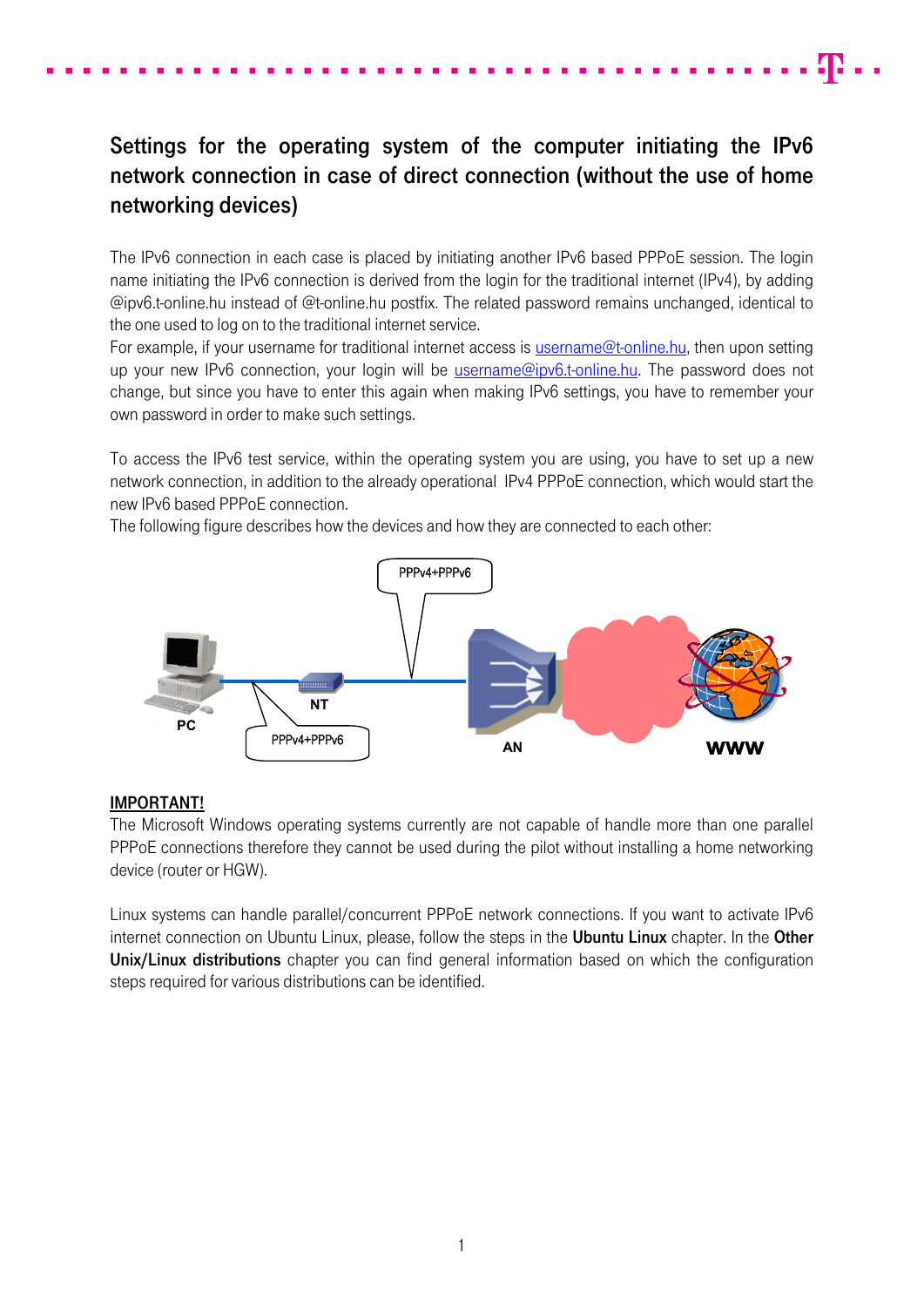# Settings for the operating system of the computer initiating the IPv6 network connection in case of direct connection (without the use of home networking devices)

The IPv6 connection in each case is placed by initiating another IPv6 based PPPoE session. The login name initiating the IPv6 connection is derived from the login for the traditional internet (IPv4), by adding @ipv6.t-online.hu instead of @t-online.hu postfix. The related password remains unchanged, identical to the one used to log on to the traditional internet service.

For example, if your username for traditional internet access is [username@t-online.hu,](mailto:username@t%1Eonline.hu) then upon setting up your new IPv6 connection, your login will be [username@ipv6.t-online.hu](mailto:username@ipv6.t%1Eonline.hu). The password does not change, but since you have to enter this again when making IPv6 settings, you have to remember your own password in order to make such settings.

To access the IPv6 test service, within the operating system you are using, you have to set up a new network connection, in addition to the already operational IPv4 PPPoE connection, which would start the new IPv6 based PPPoE connection.

The following figure describes how the devices and how they are connected to each other:



## IMPORTANT!

The Microsoft Windows operating systems currently are not capable of handle more than one parallel PPPoE connections therefore they cannot be used during the pilot without installing a home networking device (router or HGW).

Linux systems can handle parallel/concurrent PPPoE network connections. If you want to activate IPv6 internet connection on Ubuntu Linux, please, follow the steps in the **Ubuntu Linux** chapter. In the **Other** Unix/Linux distributions chapter you can find general information based on which the configuration steps required for various distributions can be identified.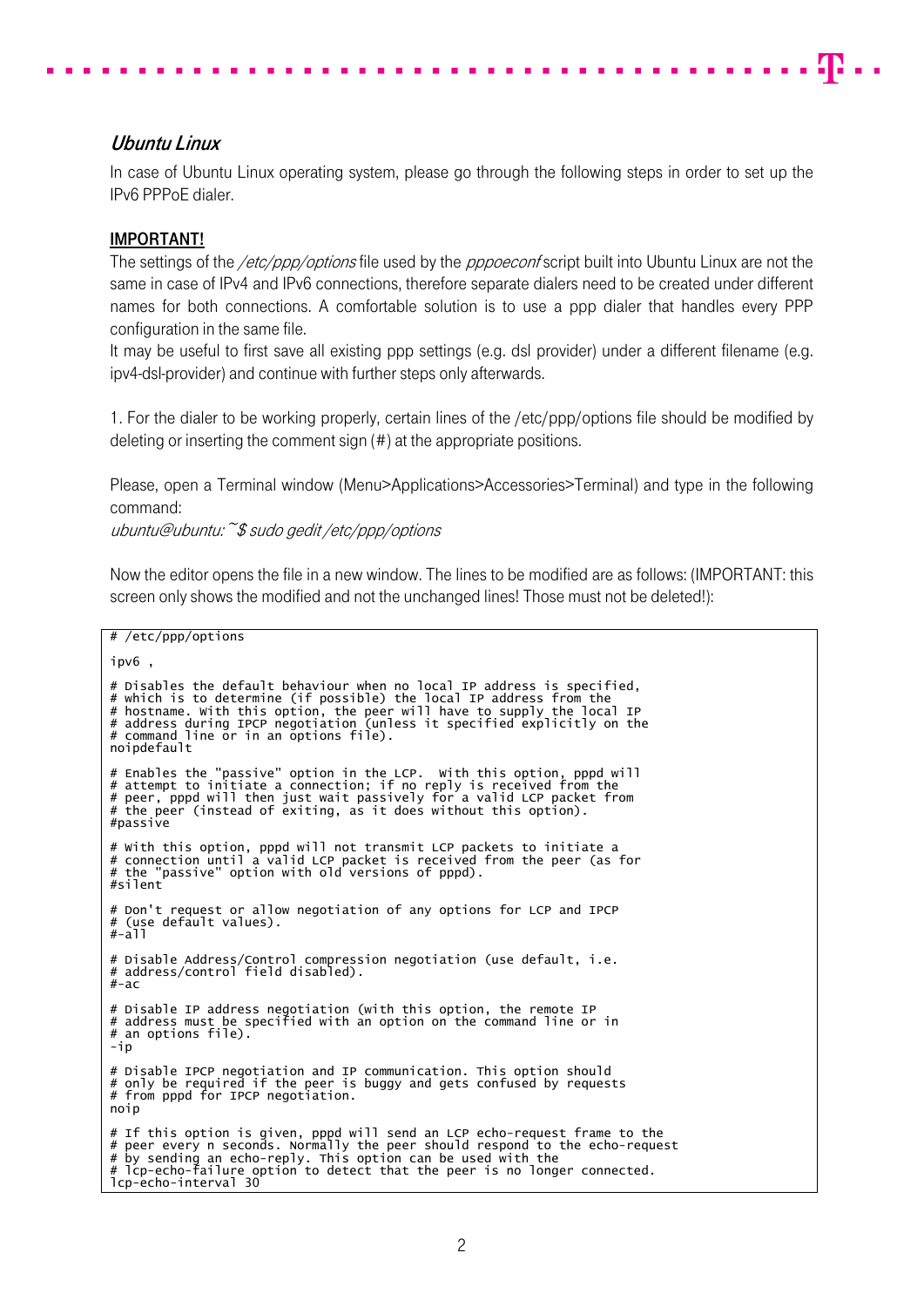## Ubuntu Linux

In case of Ubuntu Linux operating system, please go through the following steps in order to set up the IPv6 PPPoE dialer.

40 - L

#### IMPORTANT!

The settings of the /etc/ppp/options file used by the pppoeconf script built into Ubuntu Linux are not the same in case of IPv4 and IPv6 connections, therefore separate dialers need to be created under different names for both connections. A comfortable solution is to use a ppp dialer that handles every PPP configuration in the same file.

It may be useful to first save all existing ppp settings (e.g. dsl provider) under a different filename (e.g. ipv4-dsl-provider) and continue with further steps only afterwards.

1. For the dialer to be working properly, certain lines of the /etc/ppp/options file should be modified by deleting or inserting the comment sign (#) at the appropriate positions.

Please, open a Terminal window (Menu>Applications>Accessories>Terminal) and type in the following command:

ubuntu@ubuntu:~\$ sudo gedit /etc/ppp/options

Now the editor opens the file in a new window. The lines to be modified are as follows: (IMPORTANT: this screen only shows the modified and not the unchanged lines! Those must not be deleted!):

```
# /etc/ppp/options 
ipv6 , 
# Disables the default behaviour when no local IP address is specified, 
# which is to determine (if possible) the local IP address from the 
# hostname. With this option, the peer will have to supply the local IP 
# address during IPCP negotiation (unless it specified explicitly on the 
# command line or in an options file). 
noipdefault 
# Enables the "passive" option in the LCP. With this option, pppd will 
# attempt to initiate a connection; if no reply is received from the 
# peer, pppd will then just wait passively for a valid LCP packet from 
# the peer (instead of exiting, as it does without this option). 
#passive 
# With this option, pppd will not transmit LCP packets to initiate a 
# connection until a valid LCP packet is received from the peer (as for 
# the "passive" option with old versions of pppd). 
#silent 
 # Don't request or allow negotiation of any options for LCP and IPCP 
# (use default values). 
#-all 
# Disable Address/Control compression negotiation (use default, i.e. 
# address/control field disabled). 
#-ac
# Disable IP address negotiation (with this option, the remote IP 
# address must be specified with an option on the command line or in 
# an options file). 
-ip 
# Disable IPCP negotiation and IP communication. This option should 
# only be required if the peer is buggy and gets confused by requests 
# from pppd for IPCP negotiation. 
noip 
# If this option is given, pppd will send an LCP echo-request frame to the 
# peer every n seconds. Normally the peer should respond to the echo-request 
# by sending an echo-reply. This option can be used with the 
# lcp-echo-failure option to detect that the peer is no longer connected. 
lcp-echo-interval 30
```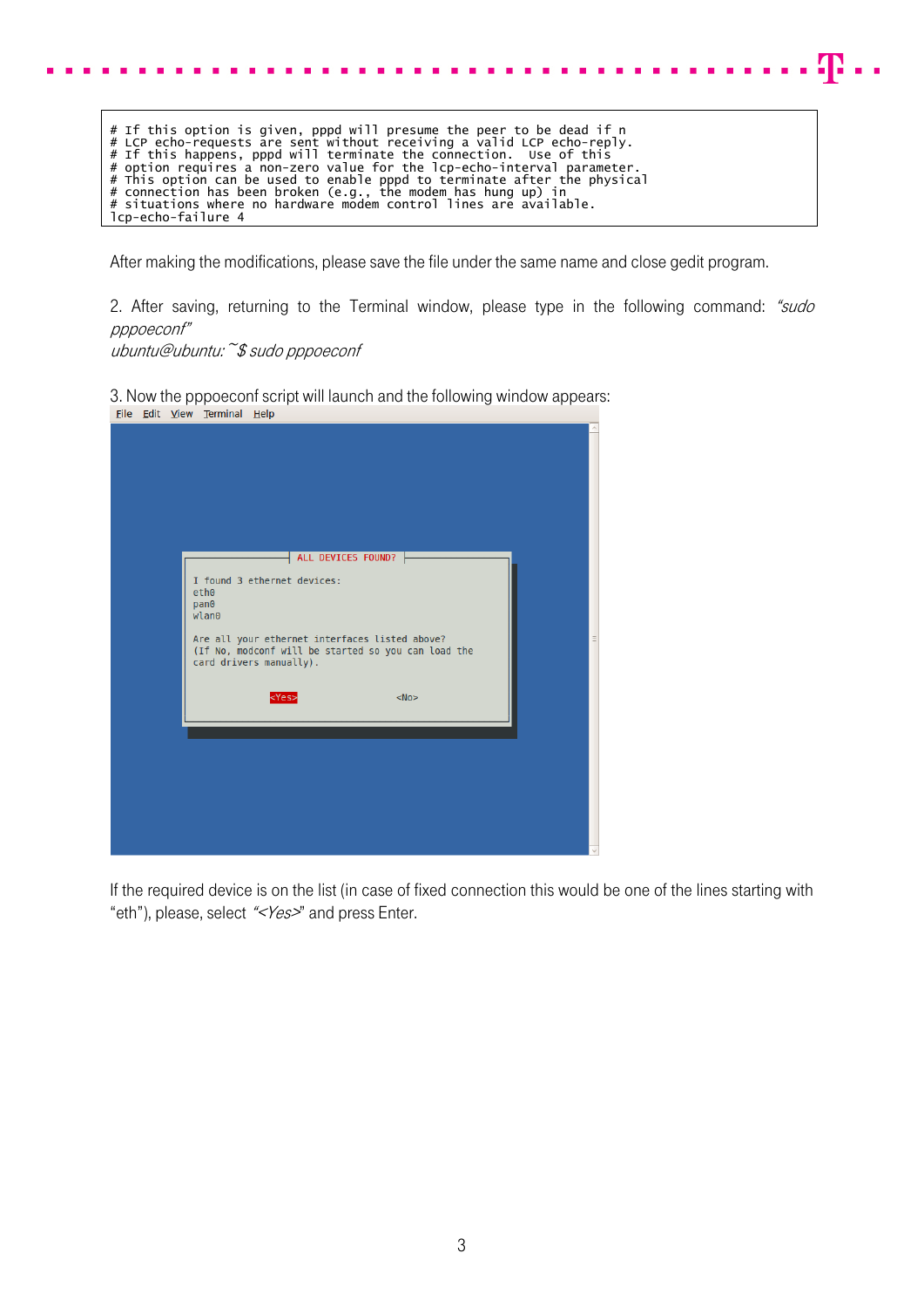| # If this option is given, pppd will presume the peer to be dead if n    |  |
|--------------------------------------------------------------------------|--|
| # LCP echo-requests are sent without receiving a valid LCP echo-reply.   |  |
| # If this happens, pppd will terminate the connection. Use of this       |  |
| # option requires a non-zero value for the lcp-echo-interval parameter.  |  |
| # This option can be used to enable pppd to terminate after the physical |  |
| # connection has been broken (e.g., the modem has hung up) in            |  |
| # situations where no hardware modem control lines are available.        |  |
| lcp-echo-failure 4                                                       |  |

After making the modifications, please save the file under the same name and close gedit program.

2. After saving, returning to the Terminal window, please type in the following command: "sudo pppoeconf"

ubuntu@ubuntu:~\$ sudo pppoeconf

3. Now the pppoeconf script will launch and the following window appears:

| File Edit View Terminal Help                                                                                                                                                                                                                                                             |
|------------------------------------------------------------------------------------------------------------------------------------------------------------------------------------------------------------------------------------------------------------------------------------------|
|                                                                                                                                                                                                                                                                                          |
| ALL DEVICES FOUND?                                                                                                                                                                                                                                                                       |
| I found 3 ethernet devices:<br>eth <sub>0</sub><br>pan <sub>0</sub><br>$w$ lan $\theta$<br>Are all your ethernet interfaces listed above?<br>Ξ<br>(If No, modconf will be started so you can load the<br>card drivers manually).<br><yes><br/><math>&lt;</math>No<math>&gt;</math></yes> |
|                                                                                                                                                                                                                                                                                          |
|                                                                                                                                                                                                                                                                                          |
|                                                                                                                                                                                                                                                                                          |

If the required device is on the list (in case of fixed connection this would be one of the lines starting with "eth"), please, select "< Yes>" and press Enter.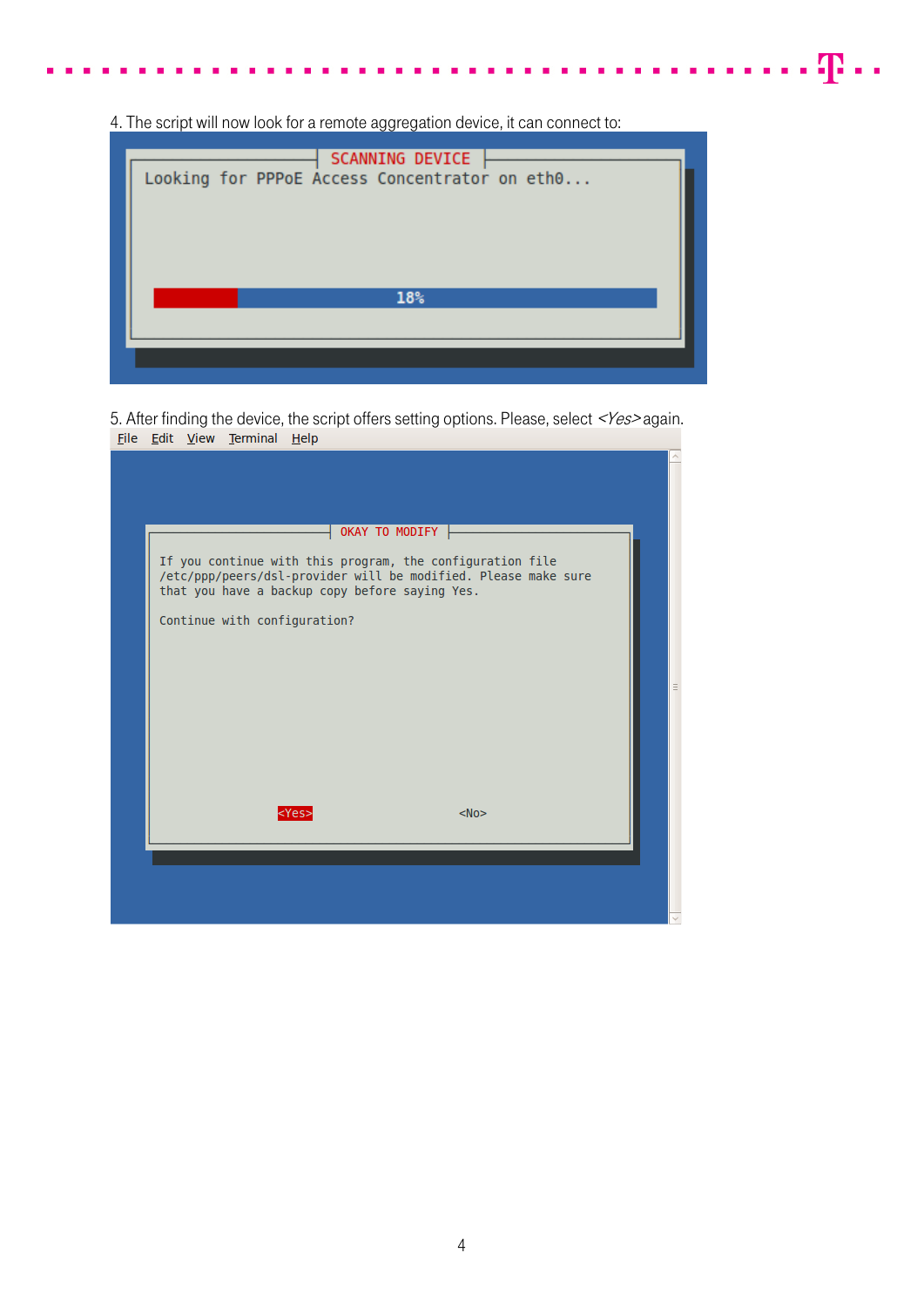4. The script will now look for a remote aggregation device, it can connect to:



 $\blacksquare$ 

 $\cdot$  T  $\cdot$  .

**COL** 

5. After finding the device, the script offers setting options. Please, select  $\langle Yes \rangle$  again.<br>File Edit View Terminal Help

| Continue with configuration? | If you continue with this program, the configuration file<br>that you have a backup copy before saying Yes. | /etc/ppp/peers/dsl-provider will be modified. Please make sure |  |
|------------------------------|-------------------------------------------------------------------------------------------------------------|----------------------------------------------------------------|--|
| <yes></yes>                  |                                                                                                             | $<$ No $>$                                                     |  |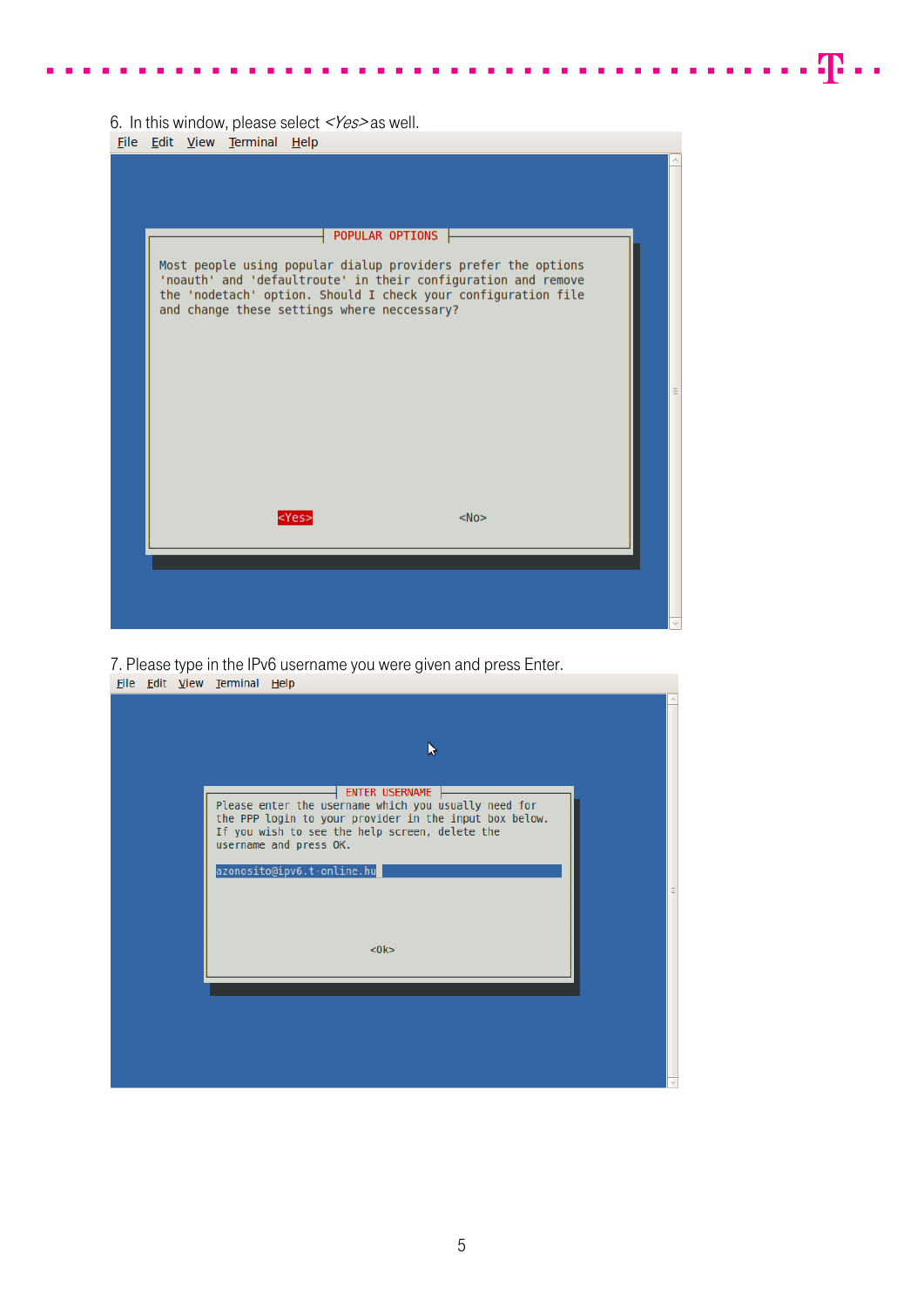6. In this window, please select  $\leq$ Yes> as well.

|  | File Edit View Terminal Help |                                                                                                                                                                                                                                                |
|--|------------------------------|------------------------------------------------------------------------------------------------------------------------------------------------------------------------------------------------------------------------------------------------|
|  |                              |                                                                                                                                                                                                                                                |
|  |                              |                                                                                                                                                                                                                                                |
|  |                              |                                                                                                                                                                                                                                                |
|  |                              | POPULAR OPTIONS                                                                                                                                                                                                                                |
|  |                              | Most people using popular dialup providers prefer the options<br>'noauth' and 'defaultroute' in their configuration and remove<br>the 'nodetach' option. Should I check your configuration file<br>and change these settings where neccessary? |
|  |                              | Ξ                                                                                                                                                                                                                                              |
|  |                              | <yes><br/><math>&lt;</math>No<math>&gt;</math></yes>                                                                                                                                                                                           |
|  |                              |                                                                                                                                                                                                                                                |

. . . . . . . . p. . .

×

7. Please type in the IPv6 username you were given and press Enter.<br>File Edit View Terminal Help

| ⊾<br><b>ENTER USERNAME</b><br>Please enter the username which you usually need for<br>the PPP login to your provider in the input box below.<br>If you wish to see the help screen, delete the<br>username and press OK.<br>azonosito@ipv6.t-online.hu<br>$<$ 0 $k$ > |  |
|-----------------------------------------------------------------------------------------------------------------------------------------------------------------------------------------------------------------------------------------------------------------------|--|
|                                                                                                                                                                                                                                                                       |  |
|                                                                                                                                                                                                                                                                       |  |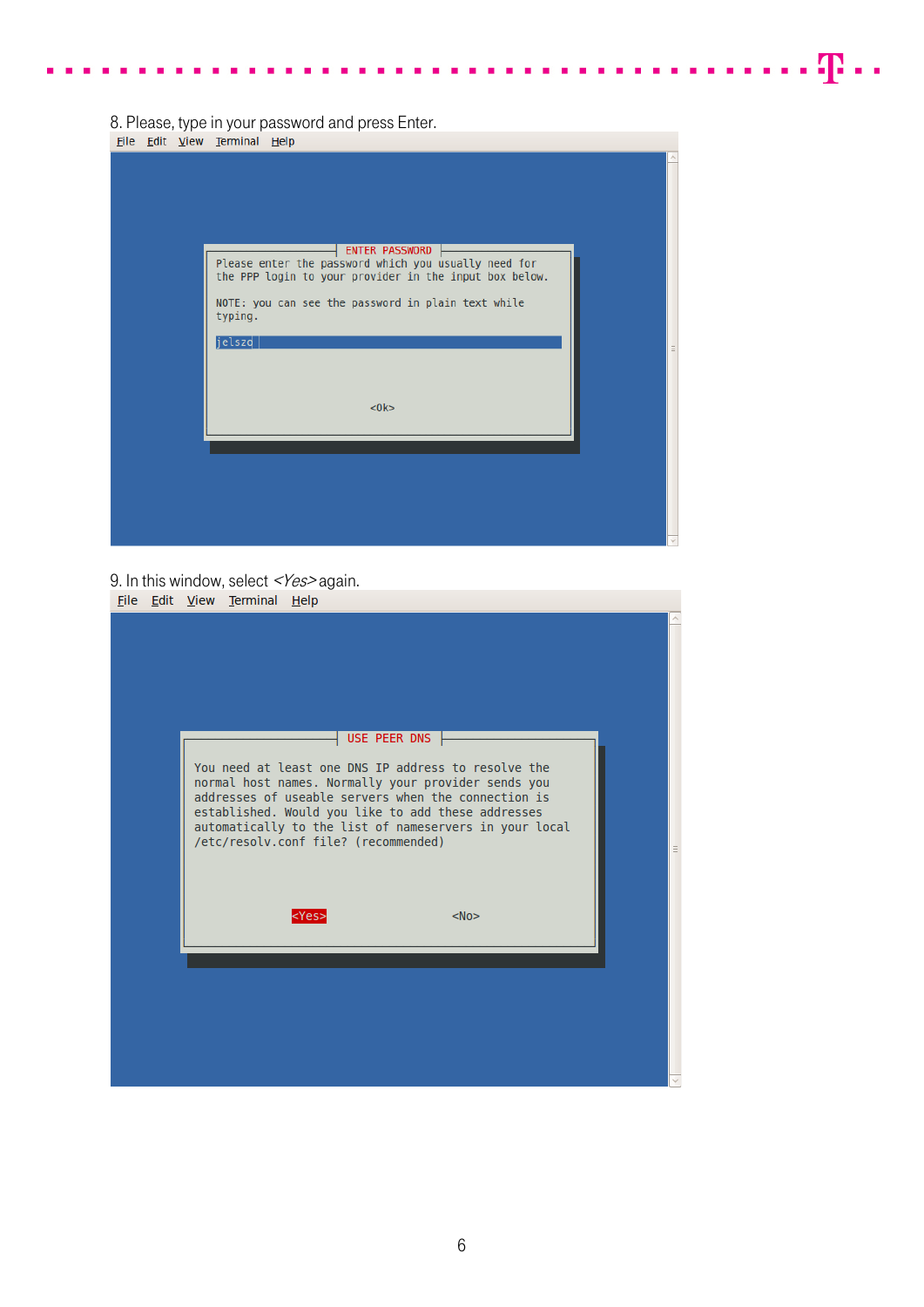8. Please, type in your password and press Enter.

| File Edit View Terminal Help                                                                                                                                                                                       |  |
|--------------------------------------------------------------------------------------------------------------------------------------------------------------------------------------------------------------------|--|
|                                                                                                                                                                                                                    |  |
| <b>ENTER PASSWORD</b><br>Please enter the password which you usually need for<br>the PPP login to your provider in the input box below.<br>NOTE: you can see the password in plain text while<br>typing.<br>jelszo |  |
| $<$ 0 $k$ $>$                                                                                                                                                                                                      |  |
|                                                                                                                                                                                                                    |  |

. . . . . . . **T**. . .

 $\blacksquare$ 

9. In this window, select <Yes>again.

|  | File Edit View Terminal Help |                                                                                                                                                                                                                                                                                                                           |                      |            |  |  |
|--|------------------------------|---------------------------------------------------------------------------------------------------------------------------------------------------------------------------------------------------------------------------------------------------------------------------------------------------------------------------|----------------------|------------|--|--|
|  |                              | You need at least one DNS IP address to resolve the<br>normal host names. Normally your provider sends you<br>addresses of useable servers when the connection is<br>established. Would you like to add these addresses<br>automatically to the list of nameservers in your local<br>/etc/resolv.conf file? (recommended) | USE PEER DNS $\vert$ |            |  |  |
|  |                              | <yes></yes>                                                                                                                                                                                                                                                                                                               |                      | $<$ No $>$ |  |  |
|  |                              |                                                                                                                                                                                                                                                                                                                           |                      |            |  |  |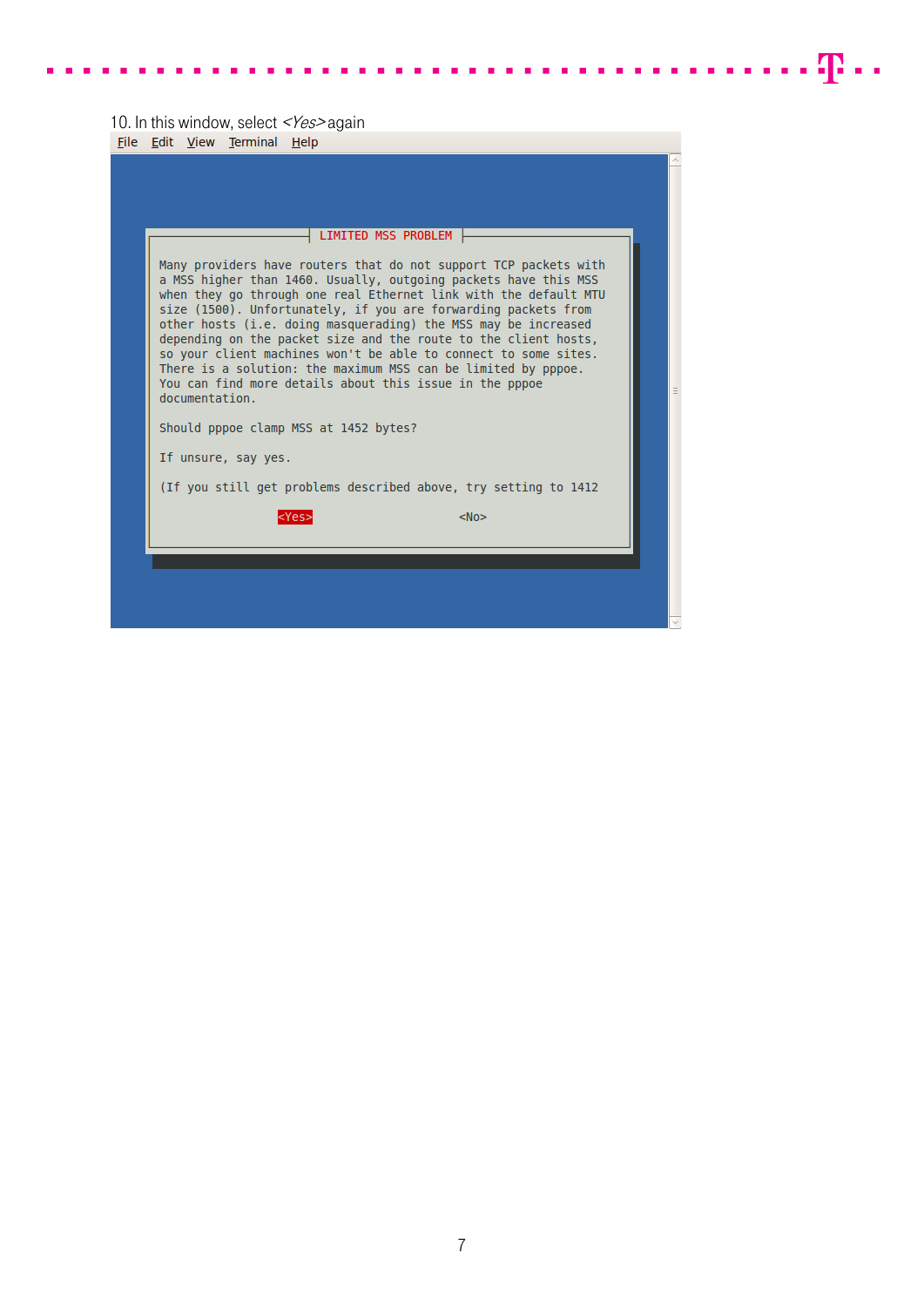10. In this window, select  $\leq$ Yes>again Eile Edit View Terminal Help

| <b>LIMITED MSS PROBLEM</b><br>Many providers have routers that do not support TCP packets with<br>a MSS higher than 1460. Usually, outgoing packets have this MSS<br>when they go through one real Ethernet link with the default MTU<br>size (1500). Unfortunately, if you are forwarding packets from<br>other hosts (i.e. doing masquerading) the MSS may be increased<br>depending on the packet size and the route to the client hosts,<br>so your client machines won't be able to connect to some sites.<br>There is a solution: the maximum MSS can be limited by pppoe.<br>You can find more details about this issue in the pppoe<br>documentation. |  |
|---------------------------------------------------------------------------------------------------------------------------------------------------------------------------------------------------------------------------------------------------------------------------------------------------------------------------------------------------------------------------------------------------------------------------------------------------------------------------------------------------------------------------------------------------------------------------------------------------------------------------------------------------------------|--|
| Should pppoe clamp MSS at 1452 bytes?<br>If unsure, say yes.                                                                                                                                                                                                                                                                                                                                                                                                                                                                                                                                                                                                  |  |
| (If you still get problems described above, try setting to 1412)<br>$<$ No $>$                                                                                                                                                                                                                                                                                                                                                                                                                                                                                                                                                                                |  |

. . . . . . . . **.**p. . .

п ×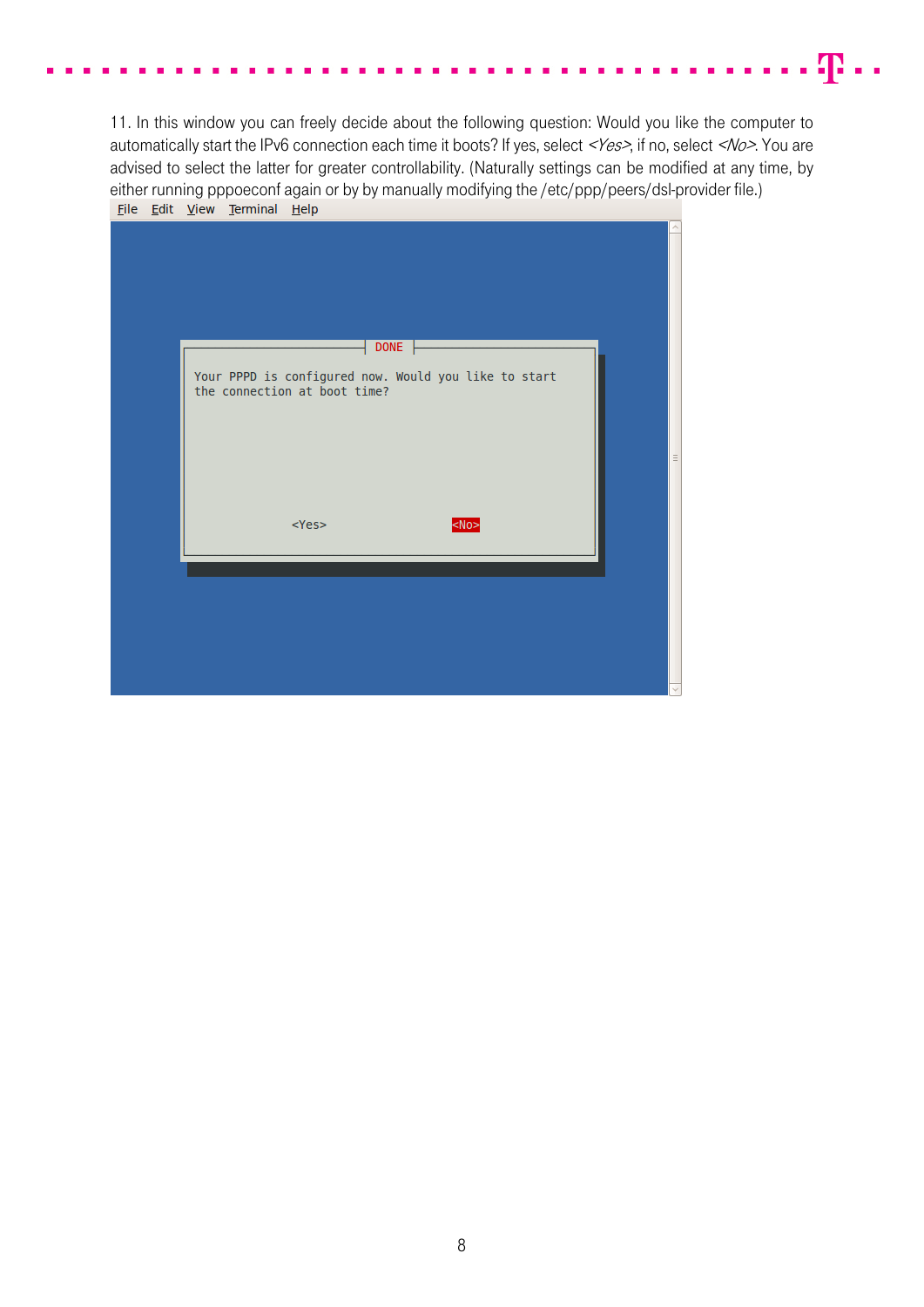11. In this window you can freely decide about the following question: Would you like the computer to automatically start the IPv6 connection each time it boots? If yes, select <*Yes*>, if no, select <*No*>. You are advised to select the latter for greater controllability. (Naturally settings can be modified at any time, by either running pppoeconf again or by by manually modifying the /etc/ppp/peers/dsl-provider file.) File Edit View Terminal Help

. -ը. . .

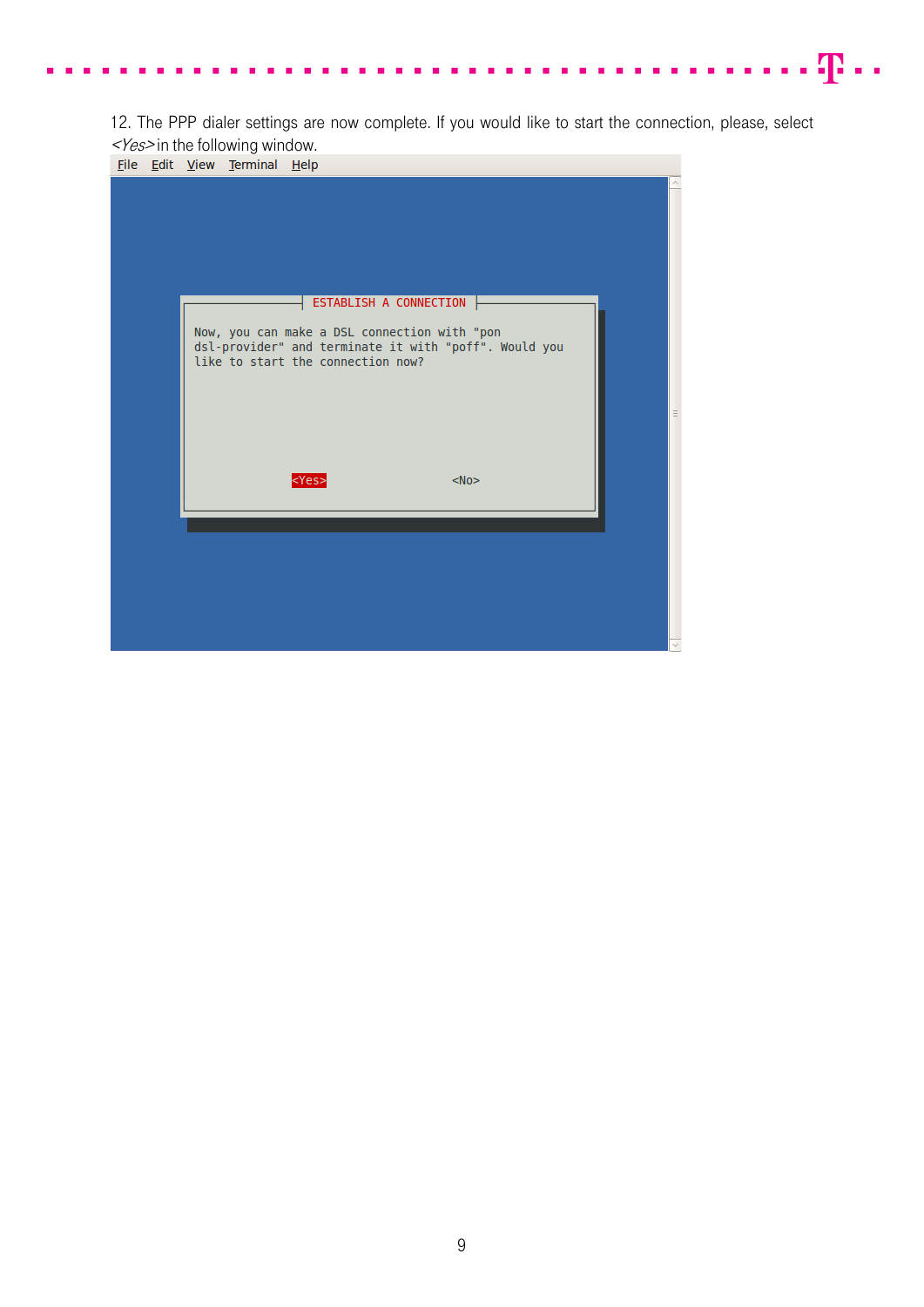12. The PPP dialer settings are now complete. If you would like to start the connection, please, select  $\leq$ Yes> in the following window.

п

 $\ldots$  T  $\ldots$ 

 $\mathbf{u}$  $\blacksquare$  $\blacksquare$ 

л  $\blacksquare$ 

|  | File Edit View Terminal Help |                                                                                                                                            |                        |            |  |   |
|--|------------------------------|--------------------------------------------------------------------------------------------------------------------------------------------|------------------------|------------|--|---|
|  |                              | Now, you can make a DSL connection with "pon<br>dsl-provider" and terminate it with "poff". Would you<br>like to start the connection now? | ESTABLISH A CONNECTION |            |  | Ξ |
|  |                              | <yes></yes>                                                                                                                                |                        | $<$ No $>$ |  |   |
|  |                              |                                                                                                                                            |                        |            |  |   |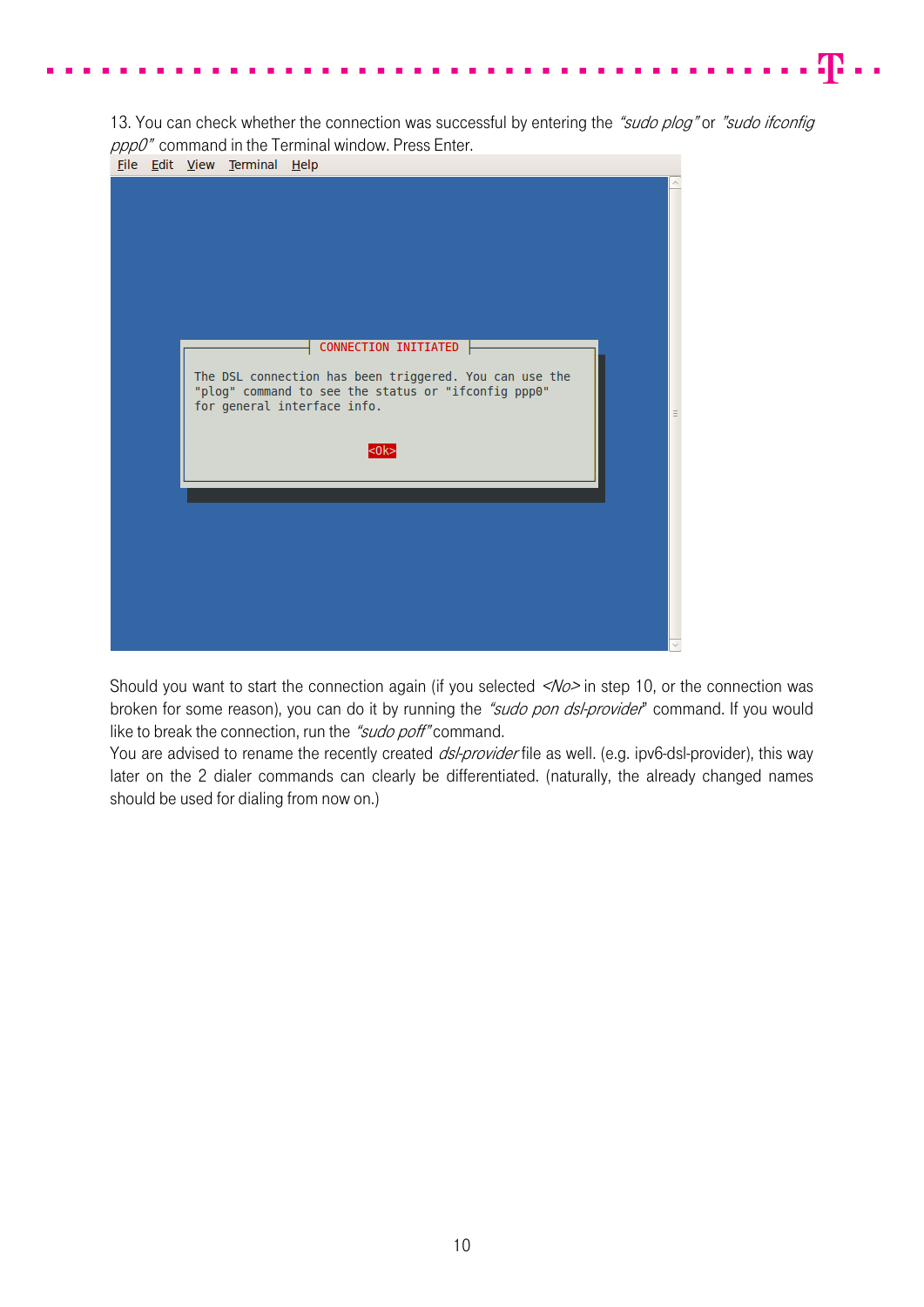13. You can check whether the connection was successful by entering the "sudo plog" or "sudo ifconfig  $\rho\rho\rho 0''$  command in the Terminal window. Press Enter.<br>Eile Edit View Terminal Help

48



Should you want to start the connection again (if you selected  $\langle N_{\theta} \rangle$  in step 10, or the connection was broken for some reason), you can do it by running the "sudo pon dsl-provider" command. If you would like to break the connection, run the "sudo poff" command.

You are advised to rename the recently created dsl-provider file as well. (e.g. ipv6-dsl-provider), this way later on the 2 dialer commands can clearly be differentiated. (naturally, the already changed names should be used for dialing from now on.)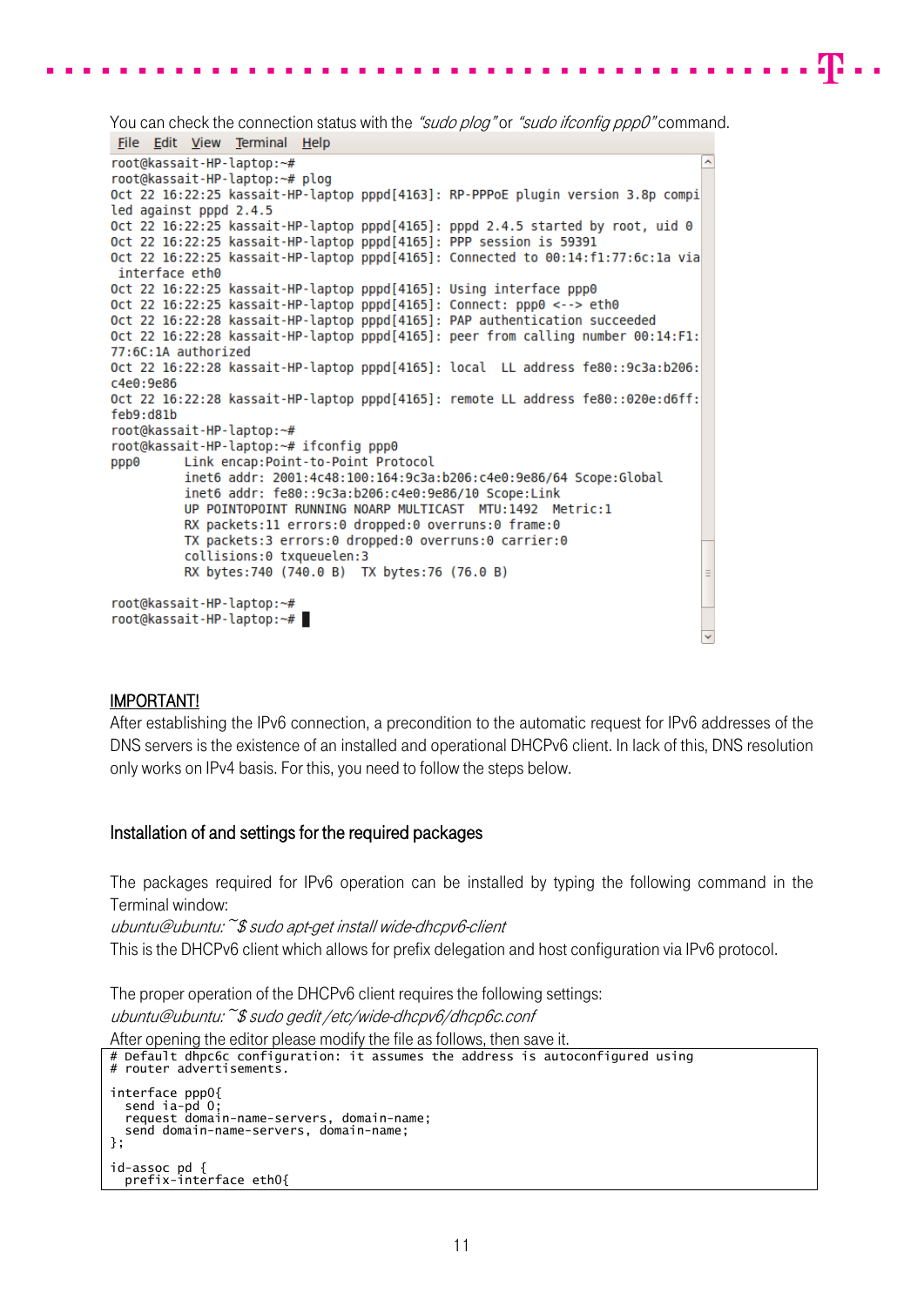You can check the connection status with the "sudo plog" or "sudo ifconfig ppp0" command. File Edit View Terminal Help

```
root@kassait-HP-laptop:~#
root@kassait-HP-laptop:~# plog
Oct 22 16:22:25 kassait-HP-laptop pppd[4163]: RP-PPPoE plugin version 3.8p compi
led against pppd 2.4.5
Oct 22 16:22:25 kassait-HP-laptop pppd[4165]: pppd 2.4.5 started by root, uid 0
Oct 22 16:22:25 kassait-HP-laptop pppd[4165]: PPP session is 59391
Oct 22 16:22:25 kassait-HP-laptop pppd[4165]: Connected to 00:14:f1:77:6c:1a via
interface eth0
Oct 22 16:22:25 kassait-HP-laptop pppd[4165]: Using interface ppp0
Oct 22 16:22:25 kassait-HP-laptop pppd[4165]: Connect: ppp0 <--> eth0
Oct 22 16:22:28 kassait-HP-laptop pppd[4165]: PAP authentication succeeded
Oct 22 16:22:28 kassait-HP-laptop pppd[4165]: peer from calling number 00:14:F1:
77:6C:1A authorized
Oct 22 16:22:28 kassait-HP-laptop pppd[4165]: local LL address fe80::9c3a:b206:
c4e0:9e86
Oct 22 16:22:28 kassait-HP-laptop pppd[4165]: remote LL address fe80::020e:d6ff:
feb9:d81b
root@kassait-HP-laptop:~#
root@kassait-HP-laptop:~# ifconfig ppp0
ppp0
          Link encap: Point-to-Point Protocol
          inet6 addr: 2001:4c48:100:164:9c3a:b206:c4e0:9e86/64 Scope:Global
          inet6 addr: fe80::9c3a:b206:c4e0:9e86/10 Scope:Link
          UP POINTOPOINT RUNNING NOARP MULTICAST MTU:1492 Metric:1
          RX packets:11 errors:0 dropped:0 overruns:0 frame:0
          TX packets:3 errors:0 dropped:0 overruns:0 carrier:0
          collisions:0 txqueuelen:3
          RX bytes: 740 (740.0 B) TX bytes: 76 (76.0 B)
root@kassait-HP-laptop:~#
root@kassait-HP-laptop:~#
```
#### IMPORTANT!

After establishing the IPv6 connection, a precondition to the automatic request for IPv6 addresses of the DNS servers is the existence of an installed and operational DHCPv6 client. In lack of this, DNS resolution only works on IPv4 basis. For this, you need to follow the steps below.

#### Installation of and settings for the required packages

The packages required for IPv6 operation can be installed by typing the following command in the Terminal window:

ubuntu@ubuntu:~\$ sudo apt-get install wide-dhcpv6-client

This is the DHCPv6 client which allows for prefix delegation and host configuration via IPv6 protocol.

The proper operation of the DHCPv6 client requires the following settings:

ubuntu@ubuntu:~\$ sudo gedit /etc/wide-dhcpv6/dhcp6c.conf

After opening the editor please modify the file as follows, then save it.

```
# Default dhpc6c configuration: it assumes the address is autoconfigured using 
# router advertisements. 
interface ppp0{ 
  send ia-pd 0
   request domain-name-servers, domain-name; 
   send domain-name-servers, domain-name; 
}; 
id-assoc pd { 
   prefix-interface eth0{
```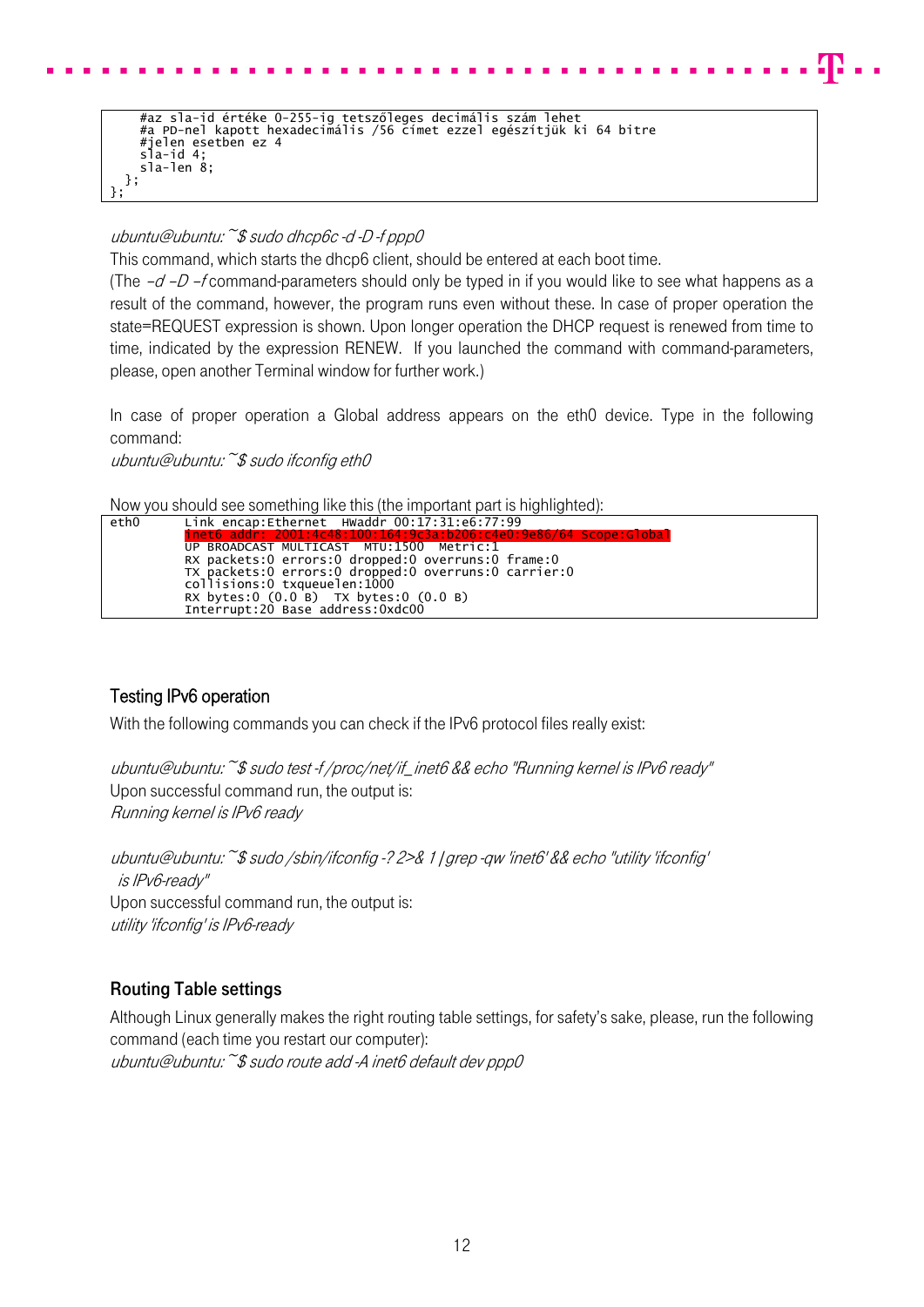```
 #az sla-id értéke 0-255-ig tetszőleges decimális szám lehet 
    #a PD-nel kapott hexadecimális /56 címet ezzel egészítjük ki 64 bitre 
 #jelen esetben ez 4 
 sla-id 4; 
    sla-len 8; 
  }; 
};
```
#### ubuntu@ubuntu:~\$ sudo dhcp6c -d -D -f ppp0

This command, which starts the dhcp6 client, should be entered at each boot time.

(The  $-d$  –D –f command-parameters should only be typed in if you would like to see what happens as a result of the command, however, the program runs even without these. In case of proper operation the state=REQUEST expression is shown. Upon longer operation the DHCP request is renewed from time to time, indicated by the expression RENEW. If you launched the command with command-parameters, please, open another Terminal window for further work.)

In case of proper operation a Global address appears on the eth0 device. Type in the following command:

ubuntu@ubuntu:~\$ sudo ifconfig eth0

Now you should see something like this (the important part is highlighted):

| eth0 | Link encap:Ethernet Hwaddr $00:17:31:e6:77:99$                    |
|------|-------------------------------------------------------------------|
|      | inet6 addr: 2001:4c48:100:164:9c3a:b206:c4e0:9e86/64 Scope:Global |
|      | UP BROADCAST MULTICAST MTU:1500 Metric:1                          |
|      | RX packets:0 errors:0 dropped:0 overruns:0 frame:0                |
|      | TX packets:0 errors:0 dropped:0 overruns:0 carrier:0              |
|      | collisions:0 txqueuelen:1000                                      |
|      | RX bytes: $0$ (0.0 B) TX bytes: $0$ (0.0 B)                       |
|      | Interrupt:20 Base address:0xdc00                                  |

## Testing IPv6 operation

With the following commands you can check if the IPv6 protocol files really exist:

ubuntu@ubuntu:~\$ sudo test -f /proc/net/if\_inet6 && echo "Running kernel is IPv6 ready" Upon successful command run, the output is: Running kernel is IPv6 ready

ubuntu@ubuntu:~\$ sudo /sbin/ifconfig -? 2>& 1|grep -qw 'inet6' && echo "utility 'ifconfig' is IPv6-ready" Upon successful command run, the output is: utility 'ifconfig' is IPv6-ready

## Routing Table settings

Although Linux generally makes the right routing table settings, for safety's sake, please, run the following command (each time you restart our computer): ubuntu@ubuntu:~\$ sudo route add -A inet6 default dev ppp0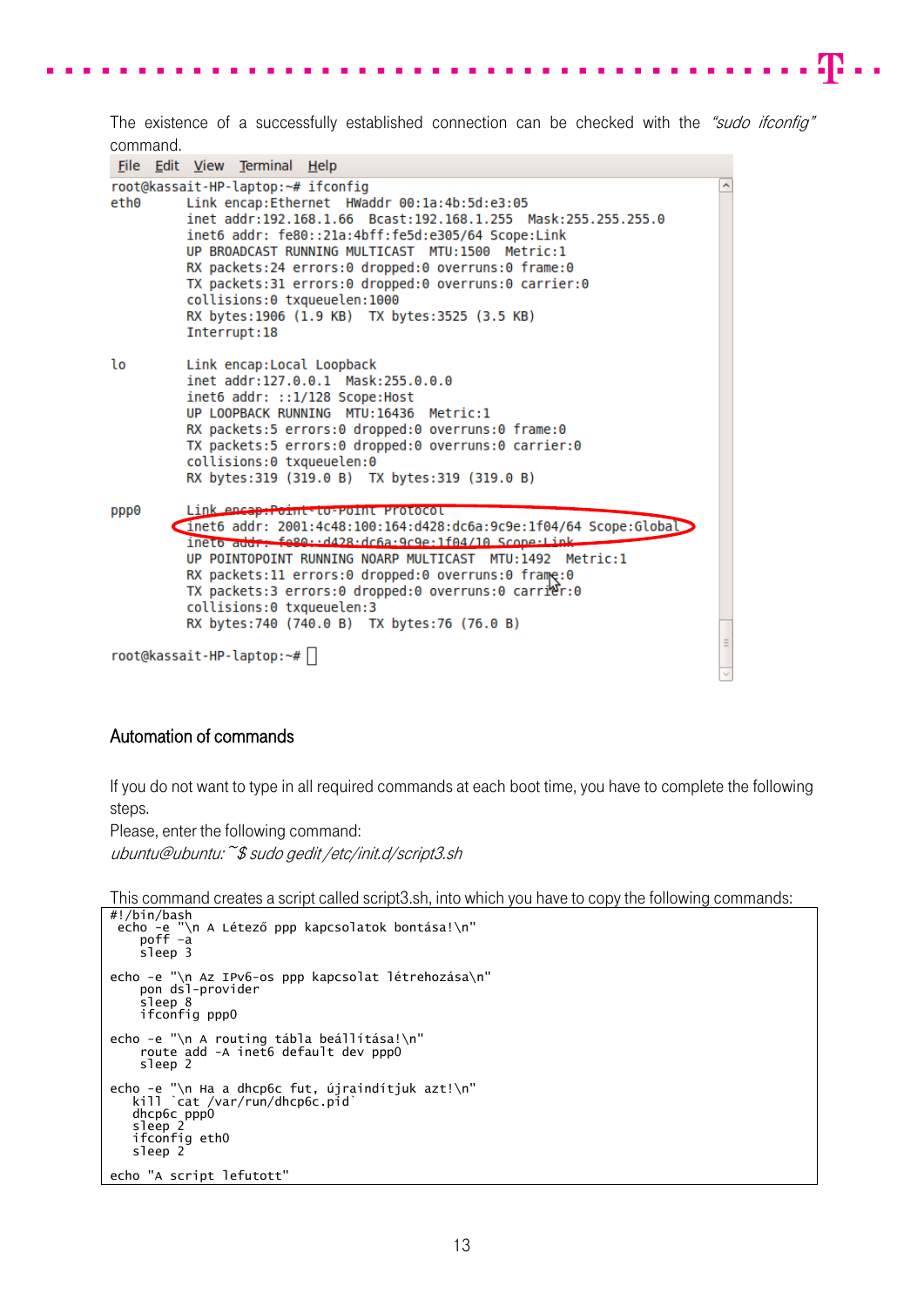æ.,

The existence of a successfully established connection can be checked with the "sudo ifconfig" command.

| root@kassait-HP-laptop:~# ifconfig<br>Link encap:Ethernet HWaddr 00:1a:4b:5d:e3:05<br>eth0<br>inet6 addr: fe80::21a:4bff:fe5d:e305/64 Scope:Link<br>UP BROADCAST RUNNING MULTICAST MTU:1500 Metric:1<br>RX packets:24 errors:0 dropped:0 overruns:0 frame:0<br>TX packets:31 errors:0 dropped:0 overruns:0 carrier:0<br>collisions:0 txqueuelen:1000<br>RX bytes:1906 (1.9 KB) TX bytes:3525 (3.5 KB)<br>Interrupt:18          |   |
|--------------------------------------------------------------------------------------------------------------------------------------------------------------------------------------------------------------------------------------------------------------------------------------------------------------------------------------------------------------------------------------------------------------------------------|---|
| Link encap: Local Loopback<br>lo<br>inet addr:127.0.0.1 Mask:255.0.0.0<br>inet6 addr: ::1/128 Scope:Host<br>UP LOOPBACK RUNNING MTU:16436 Metric:1<br>RX packets:5 errors:0 dropped:0 overruns:0 frame:0<br>TX packets:5 errors:0 dropped:0 overruns:0 carrier:0<br>collisions:0 txqueuelen:0<br>RX bytes:319 (319.0 B) TX bytes:319 (319.0 B)                                                                                 |   |
| Link encap: Point-to-Point Protocol<br>ppp0<br>lnet6 addr: 2001:4c48:100:164:d428:dc6a:9c9e:1f04/64 Scope:Global<br>ineto audr: fegg. d428.dc6a:9c9e:1f04/10 Scone:Link<br>UP POINTOPOINT RUNNING NOARP MULTICAST MTU:1492 Metric:1<br>RX packets:11 errors:0 dropped:0 overruns:0 frame:0<br>TX packets:3 errors:0 dropped:0 overruns:0 carrier:0<br>collisions:0 txqueuelen:3<br>RX bytes:740 (740.0 B) TX bytes:76 (76.0 B) |   |
| root@kassait-HP-laptop:~#                                                                                                                                                                                                                                                                                                                                                                                                      | Ξ |

# Automation of commands

If you do not want to type in all required commands at each boot time, you have to complete the following steps.

Please, enter the following command:

ubuntu@ubuntu:~\$ sudo gedit /etc/init.d/script3.sh

This command creates a script called script3.sh, into which you have to copy the following commands:

```
#!/bin/bash 
 echo -e "\n A Létező ppp kapcsolatok bontása!\n" 
 poff –a 
      sleep 3 
echo -e "\n Az IPv6-os ppp kapcsolat létrehozása\n" 
 pon dsl-provider 
 sleep 8 
 ifconfig ppp0 
echo -e "\n A routing tábla beállítása!\n" 
 route add -A inet6 default dev ppp0 
 sleep 2 
echo -e "\n Ha a dhcp6c fut, újraindítjuk azt!\n" 
 kill `cat /var/run/dhcp6c.pid` 
 dhcp6c ppp0 
 sleep 2 
 ifconfig eth0 
 sleep 2 
echo "A script lefutott"
```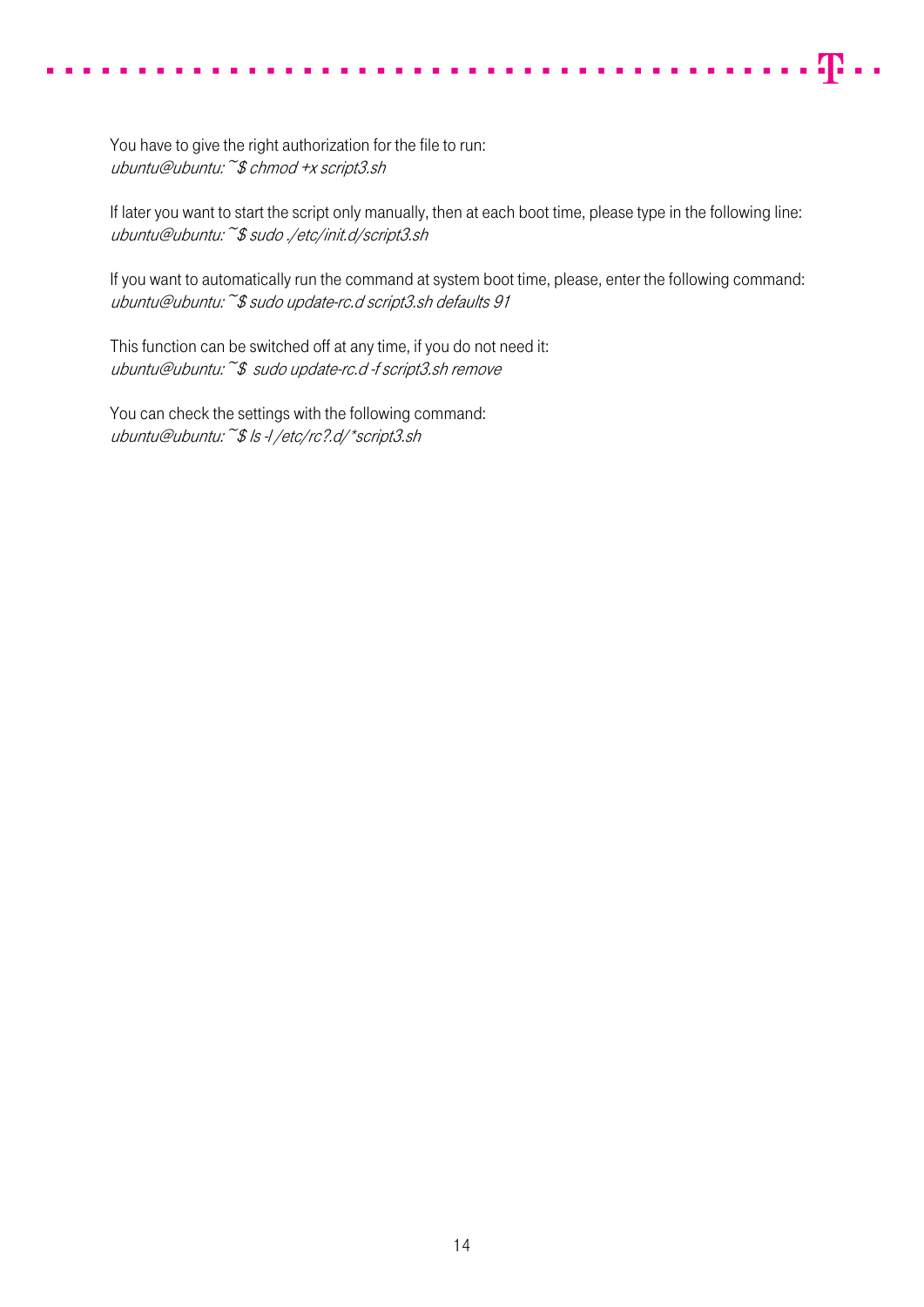You have to give the right authorization for the file to run: ubuntu@ubuntu:~\$ chmod +x script3.sh

If later you want to start the script only manually, then at each boot time, please type in the following line: ubuntu@ubuntu:~\$ sudo ./etc/init.d/script3.sh

․ ጥ․․

a a s

If you want to automatically run the command at system boot time, please, enter the following command: ubuntu@ubuntu:~\$ sudo update-rc.d script3.sh defaults 91

This function can be switched off at any time, if you do not need it: ubuntu@ubuntu:~\$ sudo update-rc.d -f script3.sh remove

You can check the settings with the following command: ubuntu@ubuntu:~\$ ls -l /etc/rc?.d/\*script3.sh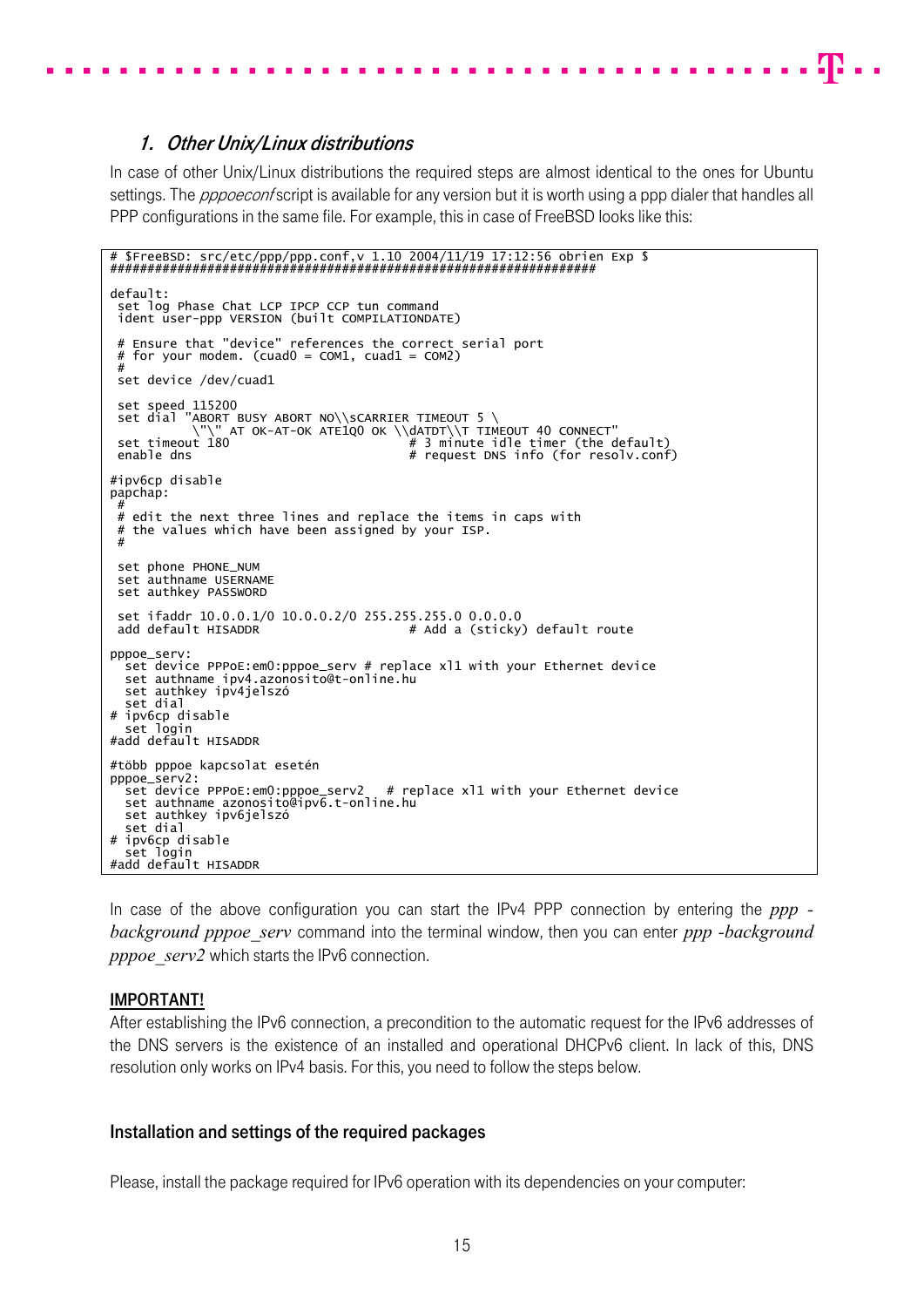# 1. Other Unix/Linux distributions

In case of other Unix/Linux distributions the required steps are almost identical to the ones for Ubuntu settings. The *pppoeconf* script is available for any version but it is worth using a ppp dialer that handles all PPP configurations in the same file. For example, this in case of FreeBSD looks like this:

41 . .

```
# $FreeBSD: src/etc/ppp/ppp.conf,v 1.10 2004/11/19 17:12:56 obrien Exp $ 
################################################################# 
default: 
 set log Phase Chat LCP IPCP CCP tun command 
 ident user-ppp VERSION (built COMPILATIONDATE) 
  # Ensure that "device" references the correct serial port 
 # for your modem. (cuad0 = COM1, cuad1 = COM2)
 # 
 set device /dev/cuad1 
 set speed 115200<br>set dial "ABORT BUSY ABORT NO\\sCARRIER TIMEOUT 5 \
set dial "ABORT BUSY ABORT NO\\sCARRIER TIMEOUT 5 \
 \"\" AT OK-AT-OK ATE1Q0 OK \\dATDT\\T TIMEOUT 40 CONNECT" 
 set timeout 180 # 3 minute idle timer (the default) 
 end timeout 180 set timeout \frac{1}{20}. The contract of the default)<br>enable dns \frac{1}{20} and \frac{1}{20} request DNS info (for resolv.conf)
#ipv6cp disable 
papchap: 
 # 
 # edit the next three lines and replace the items in caps with 
  # the values which have been assigned by your ISP. 
 # 
  set phone PHONE_NUM 
  set authname USERNAME 
 set authkey PASSWORD
 set ifaddr 10.0.0.1/0 10.0.0.2/0 255.255.255.0 0.0.0.0 
 add default HISADDR # Add a (sticky) default route 
pppoe_serv: 
   set device PPPoE:em0:pppoe_serv # replace xl1 with your Ethernet device 
   set authname ipv4.azonosito@t-online.hu 
   set authkey ipv4jelszó 
    set dial 
# ipv6cp disable 
 set login 
#add default HISADDR 
#több pppoe kapcsolat esetén 
pppoe_serv2:<br>set device PPPoE:em0:pppoe_serv2
                                            # replace xl1 with your Ethernet device
 set authname azonosito@ipv6.t-online.hu 
 set authkey ipv6jelszó 
   set dial 
# ipv6cp disable 
 set login 
#add default HISADDR
```
In case of the above configuration you can start the IPv4 PPP connection by entering the *ppp background pppoe\_serv* command into the terminal window, then you can enter *ppp -background pppoe\_serv2* which starts the IPv6 connection.

## IMPORTANT!

After establishing the IPv6 connection, a precondition to the automatic request for the IPv6 addresses of the DNS servers is the existence of an installed and operational DHCPv6 client. In lack of this, DNS resolution only works on IPv4 basis. For this, you need to follow the steps below.

## Installation and settings of the required packages

Please, install the package required for IPv6 operation with its dependencies on your computer: